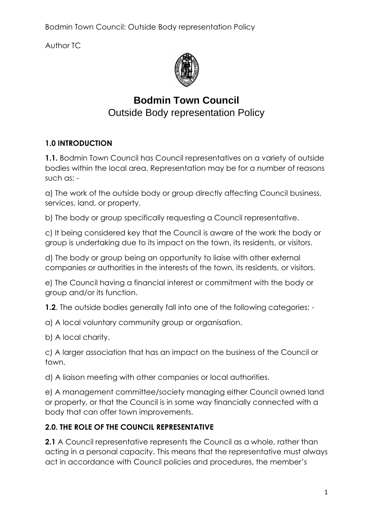Author TC



# **Bodmin Town Council**  Outside Body representation Policy

#### **1.0 INTRODUCTION**

**1.1.** Bodmin Town Council has Council representatives on a variety of outside bodies within the local area. Representation may be for a number of reasons such as: -

a) The work of the outside body or group directly affecting Council business, services, land, or property.

b) The body or group specifically requesting a Council representative.

c) It being considered key that the Council is aware of the work the body or group is undertaking due to its impact on the town, its residents, or visitors.

d) The body or group being an opportunity to liaise with other external companies or authorities in the interests of the town, its residents, or visitors.

e) The Council having a financial interest or commitment with the body or group and/or its function.

**1.2.** The outside bodies generally fall into one of the following categories: -

a) A local voluntary community group or organisation.

b) A local charity.

c) A larger association that has an impact on the business of the Council or town.

d) A liaison meeting with other companies or local authorities.

e) A management committee/society managing either Council owned land or property, or that the Council is in some way financially connected with a body that can offer town improvements.

#### **2.0. THE ROLE OF THE COUNCIL REPRESENTATIVE**

**2.1** A Council representative represents the Council as a whole, rather than acting in a personal capacity. This means that the representative must always act in accordance with Council policies and procedures, the member's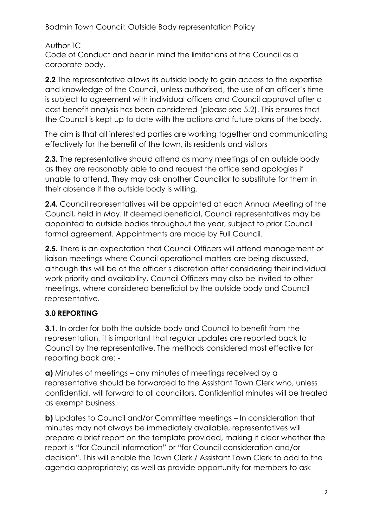Author TC

Code of Conduct and bear in mind the limitations of the Council as a corporate body.

**2.2** The representative allows its outside body to gain access to the expertise and knowledge of the Council, unless authorised, the use of an officer's time is subject to agreement with individual officers and Council approval after a cost benefit analysis has been considered (please see 5.2). This ensures that the Council is kept up to date with the actions and future plans of the body.

The aim is that all interested parties are working together and communicating effectively for the benefit of the town, its residents and visitors

**2.3.** The representative should attend as many meetings of an outside body as they are reasonably able to and request the office send apologies if unable to attend. They may ask another Councillor to substitute for them in their absence if the outside body is willing.

**2.4.** Council representatives will be appointed at each Annual Meeting of the Council, held in May. If deemed beneficial, Council representatives may be appointed to outside bodies throughout the year, subject to prior Council formal agreement. Appointments are made by Full Council.

**2.5.** There is an expectation that Council Officers will attend management or liaison meetings where Council operational matters are being discussed, although this will be at the officer's discretion after considering their individual work priority and availability. Council Officers may also be invited to other meetings, where considered beneficial by the outside body and Council representative.

## **3.0 REPORTING**

**3.1**. In order for both the outside body and Council to benefit from the representation, it is important that regular updates are reported back to Council by the representative. The methods considered most effective for reporting back are: -

**a)** Minutes of meetings – any minutes of meetings received by a representative should be forwarded to the Assistant Town Clerk who, unless confidential, will forward to all councillors. Confidential minutes will be treated as exempt business.

**b)** Updates to Council and/or Committee meetings – In consideration that minutes may not always be immediately available, representatives will prepare a brief report on the template provided, making it clear whether the report is "for Council information" or "for Council consideration and/or decision". This will enable the Town Clerk / Assistant Town Clerk to add to the agenda appropriately; as well as provide opportunity for members to ask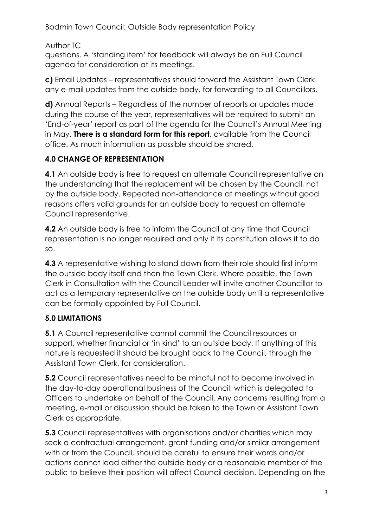Author TC

questions. A 'standing item' for feedback will always be on Full Council agenda for consideration at its meetings.

**c)** Email Updates – representatives should forward the Assistant Town Clerk any e-mail updates from the outside body, for forwarding to all Councillors.

**d)** Annual Reports – Regardless of the number of reports or updates made during the course of the year, representatives will be required to submit an 'End-of-year' report as part of the agenda for the Council's Annual Meeting in May. **There is a standard form for this report**, available from the Council office. As much information as possible should be shared.

#### **4.0 CHANGE OF REPRESENTATION**

**4.1** An outside body is free to request an alternate Council representative on the understanding that the replacement will be chosen by the Council, not by the outside body. Repeated non-attendance at meetings without good reasons offers valid grounds for an outside body to request an alternate Council representative.

**4.2** An outside body is free to inform the Council at any time that Council representation is no longer required and only if its constitution allows it to do so.

**4.3** A representative wishing to stand down from their role should first inform the outside body itself and then the Town Clerk. Where possible, the Town Clerk in Consultation with the Council Leader will invite another Councillor to act as a temporary representative on the outside body until a representative can be formally appointed by Full Council.

## **5.0 LIMITATIONS**

**5.1** A Council representative cannot commit the Council resources or support, whether financial or 'in kind' to an outside body. If anything of this nature is requested it should be brought back to the Council, through the Assistant Town Clerk, for consideration.

**5.2** Council representatives need to be mindful not to become involved in the day-to-day operational business of the Council, which is delegated to Officers to undertake on behalf of the Council. Any concerns resulting from a meeting, e-mail or discussion should be taken to the Town or Assistant Town Clerk as appropriate.

**5.3** Council representatives with organisations and/or charities which may seek a contractual arrangement, grant funding and/or similar arrangement with or from the Council, should be careful to ensure their words and/or actions cannot lead either the outside body or a reasonable member of the public to believe their position will affect Council decision. Depending on the